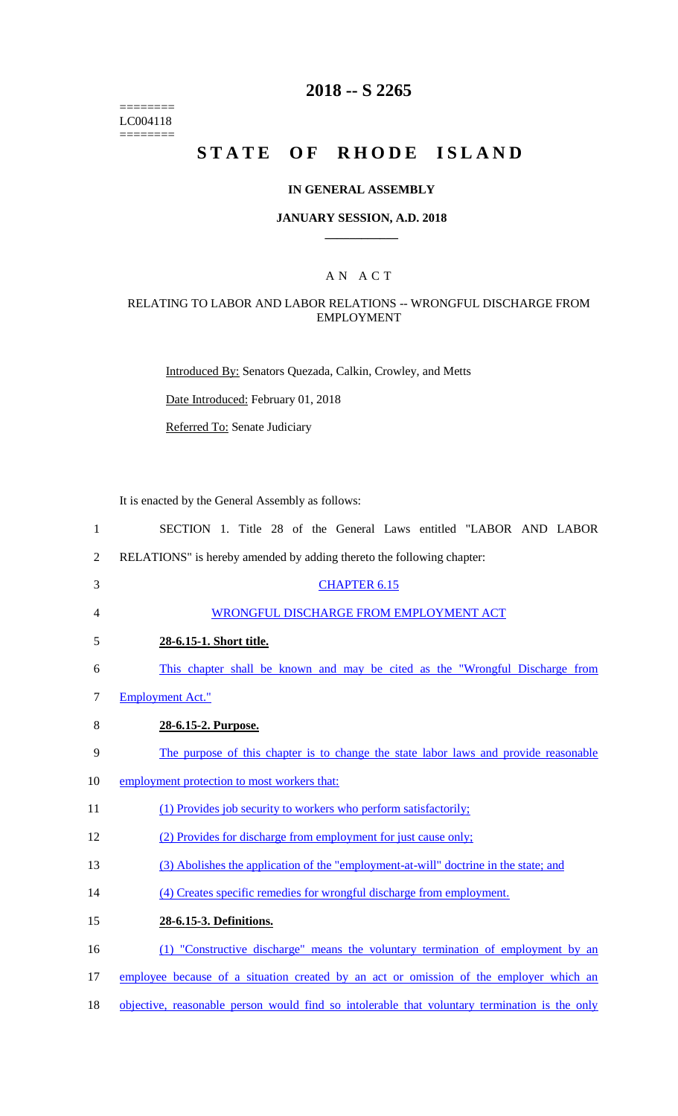======== LC004118 ========

### **2018 -- S 2265**

# **STATE OF RHODE ISLAND**

#### **IN GENERAL ASSEMBLY**

#### **JANUARY SESSION, A.D. 2018 \_\_\_\_\_\_\_\_\_\_\_\_**

### A N A C T

#### RELATING TO LABOR AND LABOR RELATIONS -- WRONGFUL DISCHARGE FROM EMPLOYMENT

Introduced By: Senators Quezada, Calkin, Crowley, and Metts

Date Introduced: February 01, 2018

Referred To: Senate Judiciary

It is enacted by the General Assembly as follows:

- 1 SECTION 1. Title 28 of the General Laws entitled "LABOR AND LABOR 2 RELATIONS" is hereby amended by adding thereto the following chapter: 3 CHAPTER 6.15 4 WRONGFUL DISCHARGE FROM EMPLOYMENT ACT 5 **28-6.15-1. Short title.**  6 This chapter shall be known and may be cited as the "Wrongful Discharge from 7 Employment Act." 8 **28-6.15-2. Purpose.**  9 The purpose of this chapter is to change the state labor laws and provide reasonable 10 employment protection to most workers that: 11 (1) Provides job security to workers who perform satisfactorily; 12 (2) Provides for discharge from employment for just cause only; 13 (3) Abolishes the application of the "employment-at-will" doctrine in the state; and 14 (4) Creates specific remedies for wrongful discharge from employment. 15 **28-6.15-3. Definitions.**  16 (1) "Constructive discharge" means the voluntary termination of employment by an 17 employee because of a situation created by an act or omission of the employer which an
- 18 objective, reasonable person would find so intolerable that voluntary termination is the only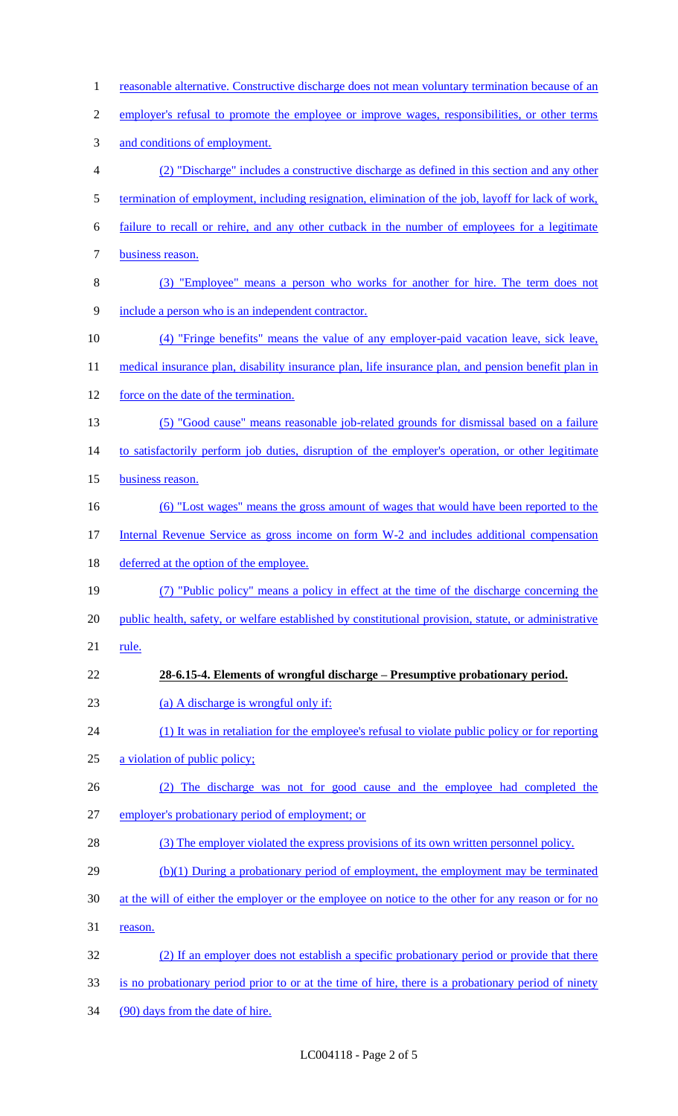| $\mathbf{1}$   | reasonable alternative. Constructive discharge does not mean voluntary termination because of an      |
|----------------|-------------------------------------------------------------------------------------------------------|
| $\overline{c}$ | employer's refusal to promote the employee or improve wages, responsibilities, or other terms         |
| 3              | and conditions of employment.                                                                         |
| 4              | (2) "Discharge" includes a constructive discharge as defined in this section and any other            |
| 5              | termination of employment, including resignation, elimination of the job, layoff for lack of work,    |
| 6              | failure to recall or rehire, and any other cutback in the number of employees for a legitimate        |
| 7              | business reason.                                                                                      |
| $8\,$          | (3) "Employee" means a person who works for another for hire. The term does not                       |
| 9              | include a person who is an independent contractor.                                                    |
| 10             | (4) "Fringe benefits" means the value of any employer-paid vacation leave, sick leave,                |
| 11             | medical insurance plan, disability insurance plan, life insurance plan, and pension benefit plan in   |
| 12             | force on the date of the termination.                                                                 |
| 13             | (5) "Good cause" means reasonable job-related grounds for dismissal based on a failure                |
| 14             | to satisfactorily perform job duties, disruption of the employer's operation, or other legitimate     |
| 15             | business reason.                                                                                      |
| 16             | (6) "Lost wages" means the gross amount of wages that would have been reported to the                 |
| 17             | Internal Revenue Service as gross income on form W-2 and includes additional compensation             |
| 18             | deferred at the option of the employee.                                                               |
| 19             | (7) "Public policy" means a policy in effect at the time of the discharge concerning the              |
| 20             | public health, safety, or welfare established by constitutional provision, statute, or administrative |
| 21             | rule.                                                                                                 |
| 22             | 28-6.15-4. Elements of wrongful discharge – Presumptive probationary period.                          |
| 23             | (a) A discharge is wrongful only if:                                                                  |
| 24             | (1) It was in retaliation for the employee's refusal to violate public policy or for reporting        |
| 25             | a violation of public policy;                                                                         |
| 26             | (2) The discharge was not for good cause and the employee had completed the                           |
| 27             | employer's probationary period of employment; or                                                      |
| 28             | (3) The employer violated the express provisions of its own written personnel policy.                 |
| 29             | (b)(1) During a probationary period of employment, the employment may be terminated                   |
| 30             | at the will of either the employer or the employee on notice to the other for any reason or for no    |
| 31             | reason.                                                                                               |
| 32             | (2) If an employer does not establish a specific probationary period or provide that there            |
| 33             | is no probationary period prior to or at the time of hire, there is a probationary period of ninety   |
| 34             | (90) days from the date of hire.                                                                      |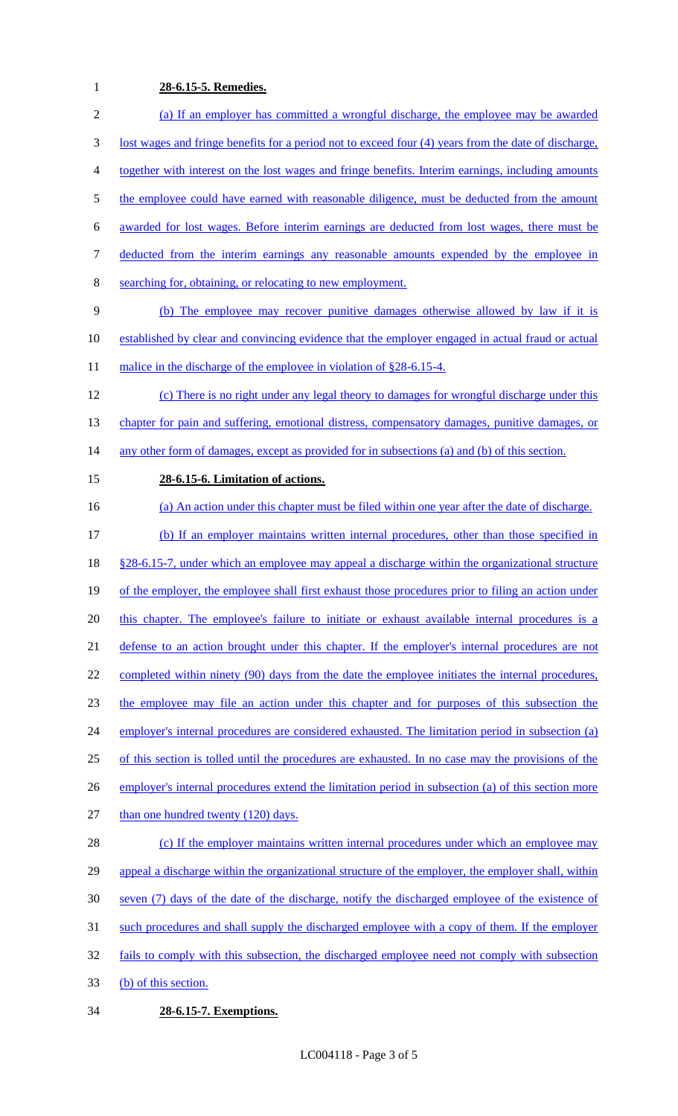# **28-6.15-5. Remedies.**

| $\overline{2}$ | (a) If an employer has committed a wrongful discharge, the employee may be awarded                    |
|----------------|-------------------------------------------------------------------------------------------------------|
| 3              | lost wages and fringe benefits for a period not to exceed four (4) years from the date of discharge,  |
| 4              | together with interest on the lost wages and fringe benefits. Interim earnings, including amounts     |
| 5              | the employee could have earned with reasonable diligence, must be deducted from the amount            |
| 6              | awarded for lost wages. Before interim earnings are deducted from lost wages, there must be           |
| 7              | deducted from the interim earnings any reasonable amounts expended by the employee in                 |
| 8              | searching for, obtaining, or relocating to new employment.                                            |
| 9              | (b) The employee may recover punitive damages otherwise allowed by law if it is                       |
| 10             | established by clear and convincing evidence that the employer engaged in actual fraud or actual      |
| 11             | malice in the discharge of the employee in violation of §28-6.15-4.                                   |
| 12             | (c) There is no right under any legal theory to damages for wrongful discharge under this             |
| 13             | chapter for pain and suffering, emotional distress, compensatory damages, punitive damages, or        |
| 14             | any other form of damages, except as provided for in subsections (a) and (b) of this section.         |
| 15             | 28-6.15-6. Limitation of actions.                                                                     |
| 16             | (a) An action under this chapter must be filed within one year after the date of discharge.           |
| 17             | (b) If an employer maintains written internal procedures, other than those specified in               |
| 18             | <u>§28-6.15-7, under which an employee may appeal a discharge within the organizational structure</u> |
| 19             | of the employer, the employee shall first exhaust those procedures prior to filing an action under    |
| 20             | this chapter. The employee's failure to initiate or exhaust available internal procedures is a        |
| 21             | defense to an action brought under this chapter. If the employer's internal procedures are not        |
| 22             | completed within ninety (90) days from the date the employee initiates the internal procedures,       |
| 23             | the employee may file an action under this chapter and for purposes of this subsection the            |
| 24             | employer's internal procedures are considered exhausted. The limitation period in subsection (a)      |
| 25             | of this section is tolled until the procedures are exhausted. In no case may the provisions of the    |
| 26             | employer's internal procedures extend the limitation period in subsection (a) of this section more    |
| 27             | than one hundred twenty (120) days.                                                                   |
| 28             | (c) If the employer maintains written internal procedures under which an employee may                 |
| 29             | appeal a discharge within the organizational structure of the employer, the employer shall, within    |
| 30             | seven (7) days of the date of the discharge, notify the discharged employee of the existence of       |
| 31             | such procedures and shall supply the discharged employee with a copy of them. If the employer         |
| 32             | fails to comply with this subsection, the discharged employee need not comply with subsection         |
| 33             | (b) of this section.                                                                                  |
| 34             | 28-6.15-7. Exemptions.                                                                                |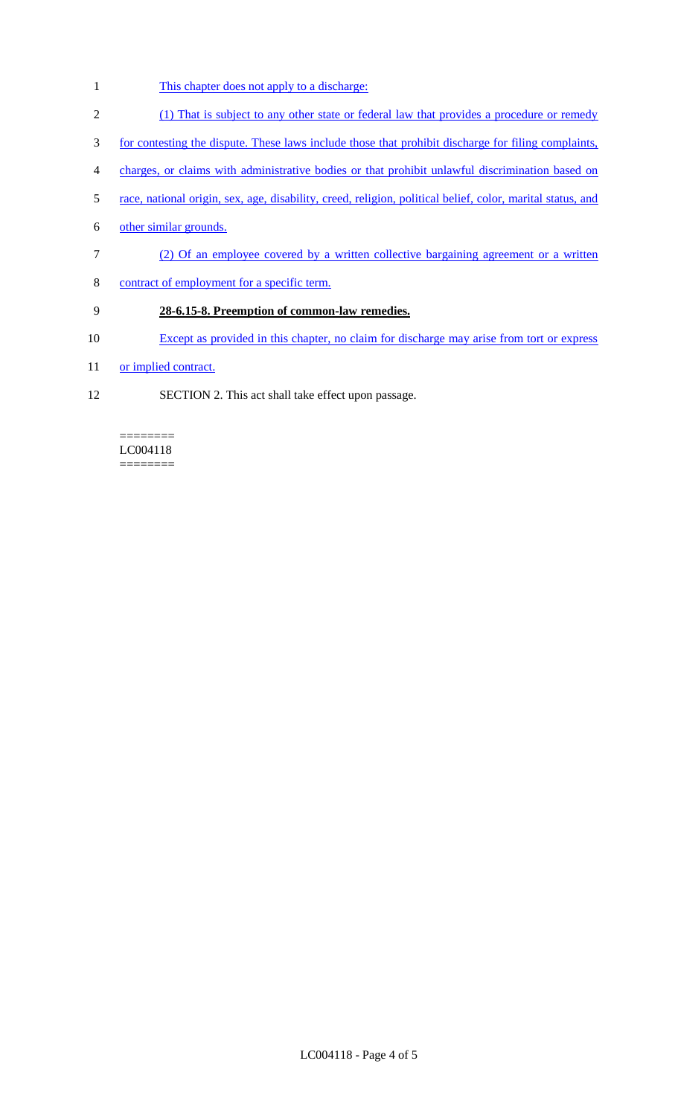- 1 This chapter does not apply to a discharge:
- 2 (1) That is subject to any other state or federal law that provides a procedure or remedy
- 3 for contesting the dispute. These laws include those that prohibit discharge for filing complaints,
- 4 charges, or claims with administrative bodies or that prohibit unlawful discrimination based on
- 5 race, national origin, sex, age, disability, creed, religion, political belief, color, marital status, and
- 6 other similar grounds.
- 7 (2) Of an employee covered by a written collective bargaining agreement or a written
- 8 contract of employment for a specific term.

## 9 **28-6.15-8. Preemption of common-law remedies.**

- 10 Except as provided in this chapter, no claim for discharge may arise from tort or express
- 11 or implied contract.
- 12 SECTION 2. This act shall take effect upon passage.

======== LC004118 ========